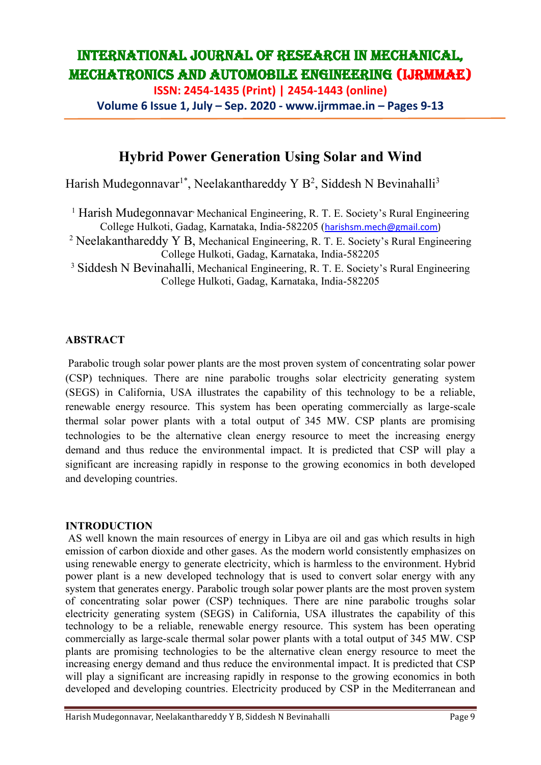**ISSN: 2454-1435 (Print) | 2454-1443 (online)**

**Volume 6 Issue 1, July – Sep. 2020 - www.ijrmmae.in – Pages 9-13**

## **Hybrid Power Generation Using Solar and Wind**

Harish Mudegonnavar<sup>1\*</sup>, Neelakanthareddy Y B<sup>2</sup>, Siddesh N Bevinahalli<sup>3</sup>

<sup>1</sup> Harish Mudegonnavar<sup>,</sup> Mechanical Engineering, R. T. E. Society's Rural Engineering College Hulkoti, Gadag, Karnataka, India-582205 ([harishsm.mech@gmail.com\)](mailto:harishsm.mech@gmail.com)

<sup>2</sup> Neelakanthareddy Y B, Mechanical Engineering, R. T. E. Society's Rural Engineering College Hulkoti, Gadag, Karnataka, India-582205

<sup>3</sup> Siddesh N Bevinahalli, Mechanical Engineering, R. T. E. Society's Rural Engineering College Hulkoti, Gadag, Karnataka, India-582205

### **ABSTRACT**

Parabolic trough solar power plants are the most proven system of concentrating solar power (CSP) techniques. There are nine parabolic troughs solar electricity generating system (SEGS) in California, USA illustrates the capability of this technology to be a reliable, renewable energy resource. This system has been operating commercially as large-scale thermal solar power plants with a total output of 345 MW. CSP plants are promising technologies to be the alternative clean energy resource to meet the increasing energy demand and thus reduce the environmental impact. It is predicted that CSP will play a significant are increasing rapidly in response to the growing economics in both developed and developing countries.

### **INTRODUCTION**

AS well known the main resources of energy in Libya are oil and gas which results in high emission of carbon dioxide and other gases. As the modern world consistently emphasizes on using renewable energy to generate electricity, which is harmless to the environment. Hybrid power plant is a new developed technology that is used to convert solar energy with any system that generates energy. Parabolic trough solar power plants are the most proven system of concentrating solar power (CSP) techniques. There are nine parabolic troughs solar electricity generating system (SEGS) in California, USA illustrates the capability of this technology to be a reliable, renewable energy resource. This system has been operating commercially as large-scale thermal solar power plants with a total output of 345 MW. CSP plants are promising technologies to be the alternative clean energy resource to meet the increasing energy demand and thus reduce the environmental impact. It is predicted that CSP will play a significant are increasing rapidly in response to the growing economics in both developed and developing countries. Electricity produced by CSP in the Mediterranean and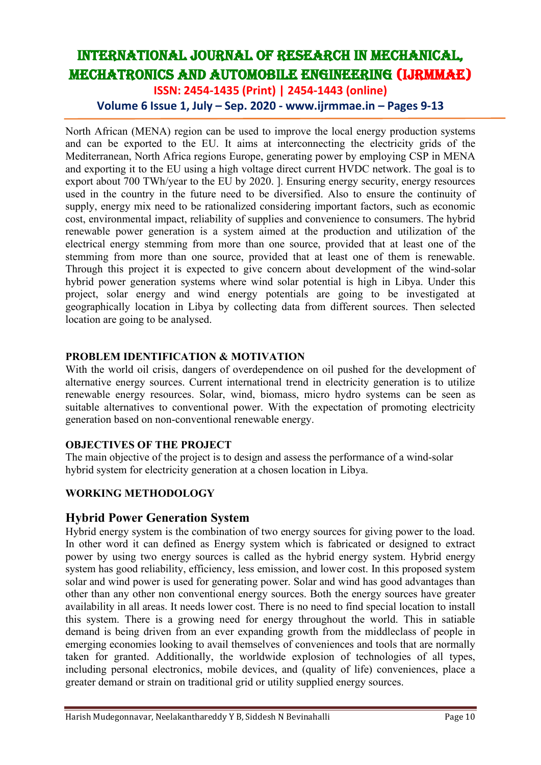**ISSN: 2454-1435 (Print) | 2454-1443 (online)**

**Volume 6 Issue 1, July – Sep. 2020 - www.ijrmmae.in – Pages 9-13**

North African (MENA) region can be used to improve the local energy production systems and can be exported to the EU. It aims at interconnecting the electricity grids of the Mediterranean, North Africa regions Europe, generating power by employing CSP in MENA and exporting it to the EU using a high voltage direct current HVDC network. The goal is to export about 700 TWh/year to the EU by 2020. ]. Ensuring energy security, energy resources used in the country in the future need to be diversified. Also to ensure the continuity of supply, energy mix need to be rationalized considering important factors, such as economic cost, environmental impact, reliability of supplies and convenience to consumers. The hybrid renewable power generation is a system aimed at the production and utilization of the electrical energy stemming from more than one source, provided that at least one of the stemming from more than one source, provided that at least one of them is renewable. Through this project it is expected to give concern about development of the wind-solar hybrid power generation systems where wind solar potential is high in Libya. Under this project, solar energy and wind energy potentials are going to be investigated at geographically location in Libya by collecting data from different sources. Then selected location are going to be analysed.

#### **PROBLEM IDENTIFICATION & MOTIVATION**

With the world oil crisis, dangers of overdependence on oil pushed for the development of alternative energy sources. Current international trend in electricity generation is to utilize renewable energy resources. Solar, wind, biomass, micro hydro systems can be seen as suitable alternatives to conventional power. With the expectation of promoting electricity generation based on non-conventional renewable energy.

#### **OBJECTIVES OF THE PROJECT**

The main objective of the project is to design and assess the performance of a wind-solar hybrid system for electricity generation at a chosen location in Libya.

### **WORKING METHODOLOGY**

### **Hybrid Power Generation System**

Hybrid energy system is the combination of two energy sources for giving power to the load. In other word it can defined as Energy system which is fabricated or designed to extract power by using two energy sources is called as the hybrid energy system. Hybrid energy system has good reliability, efficiency, less emission, and lower cost. In this proposed system solar and wind power is used for generating power. Solar and wind has good advantages than other than any other non conventional energy sources. Both the energy sources have greater availability in all areas. It needs lower cost. There is no need to find special location to install this system. There is a growing need for energy throughout the world. This in satiable demand is being driven from an ever expanding growth from the middleclass of people in emerging economies looking to avail themselves of conveniences and tools that are normally taken for granted. Additionally, the worldwide explosion of technologies of all types, including personal electronics, mobile devices, and (quality of life) conveniences, place a greater demand or strain on traditional grid or utility supplied energy sources.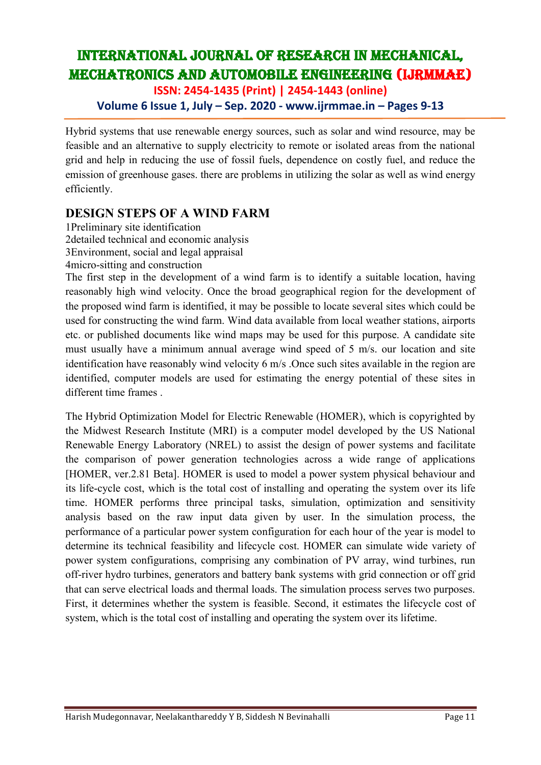**ISSN: 2454-1435 (Print) | 2454-1443 (online)**

## **Volume 6 Issue 1, July – Sep. 2020 - www.ijrmmae.in – Pages 9-13**

Hybrid systems that use renewable energy sources, such as solar and wind resource, may be feasible and an alternative to supply electricity to remote or isolated areas from the national grid and help in reducing the use of fossil fuels, dependence on costly fuel, and reduce the emission of greenhouse gases. there are problems in utilizing the solar as well as wind energy efficiently.

## **DESIGN STEPS OF A WIND FARM**

1Preliminary site identification 2detailed technical and economic analysis 3Environment, social and legal appraisal 4micro-sitting and construction

The first step in the development of a wind farm is to identify a suitable location, having reasonably high wind velocity. Once the broad geographical region for the development of the proposed wind farm is identified, it may be possible to locate several sites which could be used for constructing the wind farm. Wind data available from local weather stations, airports etc. or published documents like wind maps may be used for this purpose. A candidate site must usually have a minimum annual average wind speed of 5 m/s. our location and site identification have reasonably wind velocity 6 m/s .Once such sites available in the region are identified, computer models are used for estimating the energy potential of these sites in different time frames .

The Hybrid Optimization Model for Electric Renewable (HOMER), which is copyrighted by the Midwest Research Institute (MRI) is a computer model developed by the US National Renewable Energy Laboratory (NREL) to assist the design of power systems and facilitate the comparison of power generation technologies across a wide range of applications [HOMER, ver.2.81 Beta]. HOMER is used to model a power system physical behaviour and its life-cycle cost, which is the total cost of installing and operating the system over its life time. HOMER performs three principal tasks, simulation, optimization and sensitivity analysis based on the raw input data given by user. In the simulation process, the performance of a particular power system configuration for each hour of the year is model to determine its technical feasibility and lifecycle cost. HOMER can simulate wide variety of power system configurations, comprising any combination of PV array, wind turbines, run off-river hydro turbines, generators and battery bank systems with grid connection or off grid that can serve electrical loads and thermal loads. The simulation process serves two purposes. First, it determines whether the system is feasible. Second, it estimates the lifecycle cost of system, which is the total cost of installing and operating the system over its lifetime.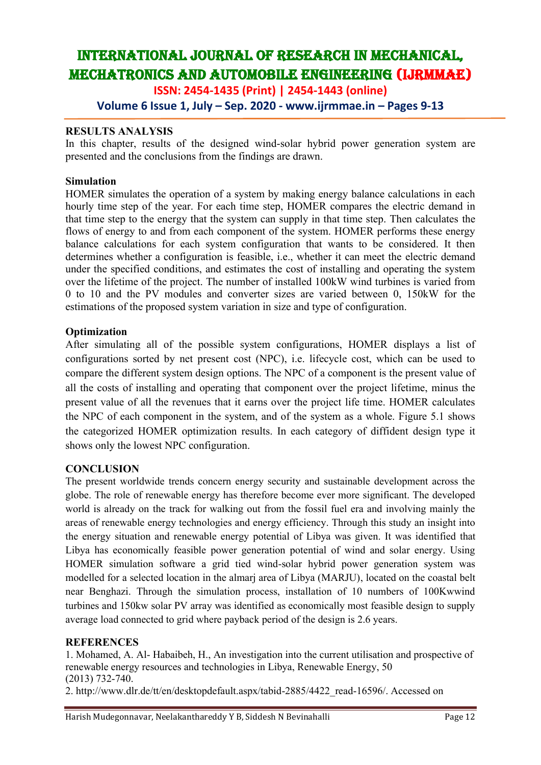**ISSN: 2454-1435 (Print) | 2454-1443 (online)**

**Volume 6 Issue 1, July – Sep. 2020 - www.ijrmmae.in – Pages 9-13**

#### **RESULTS ANALYSIS**

In this chapter, results of the designed wind-solar hybrid power generation system are presented and the conclusions from the findings are drawn.

#### **Simulation**

HOMER simulates the operation of a system by making energy balance calculations in each hourly time step of the year. For each time step, HOMER compares the electric demand in that time step to the energy that the system can supply in that time step. Then calculates the flows of energy to and from each component of the system. HOMER performs these energy balance calculations for each system configuration that wants to be considered. It then determines whether a configuration is feasible, i.e., whether it can meet the electric demand under the specified conditions, and estimates the cost of installing and operating the system over the lifetime of the project. The number of installed 100kW wind turbines is varied from 0 to 10 and the PV modules and converter sizes are varied between 0, 150kW for the estimations of the proposed system variation in size and type of configuration.

#### **Optimization**

After simulating all of the possible system configurations, HOMER displays a list of configurations sorted by net present cost (NPC), i.e. lifecycle cost, which can be used to compare the different system design options. The NPC of a component is the present value of all the costs of installing and operating that component over the project lifetime, minus the present value of all the revenues that it earns over the project life time. HOMER calculates the NPC of each component in the system, and of the system as a whole. Figure 5.1 shows the categorized HOMER optimization results. In each category of diffident design type it shows only the lowest NPC configuration.

#### **CONCLUSION**

The present worldwide trends concern energy security and sustainable development across the globe. The role of renewable energy has therefore become ever more significant. The developed world is already on the track for walking out from the fossil fuel era and involving mainly the areas of renewable energy technologies and energy efficiency. Through this study an insight into the energy situation and renewable energy potential of Libya was given. It was identified that Libya has economically feasible power generation potential of wind and solar energy. Using HOMER simulation software a grid tied wind-solar hybrid power generation system was modelled for a selected location in the almarj area of Libya (MARJU), located on the coastal belt near Benghazi. Through the simulation process, installation of 10 numbers of 100Kwwind turbines and 150kw solar PV array was identified as economically most feasible design to supply average load connected to grid where payback period of the design is 2.6 years.

#### **REFERENCES**

1. Mohamed, A. Al- Habaibeh, H., An investigation into the current utilisation and prospective of renewable energy resources and technologies in Libya, Renewable Energy, 50 (2013) 732-740.

2. http://www.dlr.de/tt/en/desktopdefault.aspx/tabid-2885/4422\_read-16596/. Accessed on